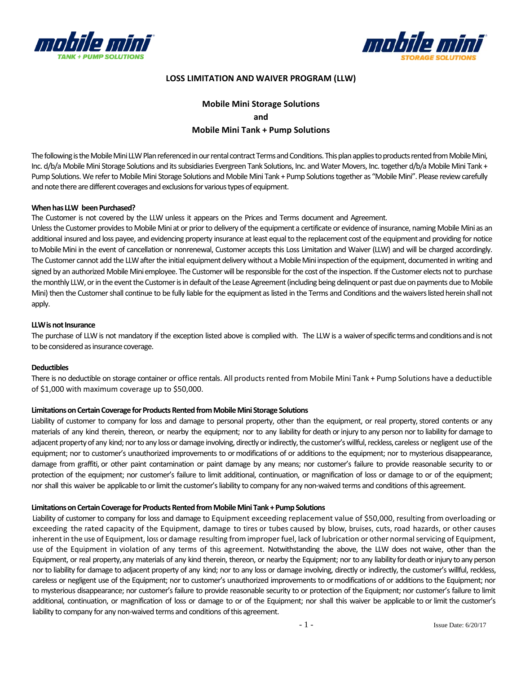



## **LOSS LIMITATION AND WAIVER PROGRAM (LLW)**

# **Mobile Mini Storage Solutions and Mobile Mini Tank + Pump Solutions**

The following is the Mobile Mini LLW Plan referenced in our rental contract Terms and Conditions. This plan applies to products rented from Mobile Mini, Inc. d/b/a Mobile Mini Storage Solutions and its subsidiaries Evergreen Tank Solutions, Inc. and Water Movers, Inc. together d/b/a Mobile Mini Tank + Pump Solutions. We refer to Mobile Mini Storage Solutions and Mobile Mini Tank + Pump Solutions together as "Mobile Mini". Please review carefully and note there are different coverages and exclusions for various types of equipment.

### **When has LLW been Purchased?**

The Customer is not covered by the LLW unless it appears on the Prices and Terms document and Agreement.

Unless the Customer provides to Mobile Mini at or prior to delivery of the equipment a certificate or evidence of insurance, naming Mobile Mini as an additional insured and loss payee, and evidencing property insurance at least equal to the replacement cost of the equipment and providing for notice to Mobile Mini in the event of cancellation or nonrenewal, Customer accepts this Loss Limitation and Waiver (LLW) and will be charged accordingly. The Customer cannot add the LLW after the initial equipment delivery without a Mobile Mini inspection of the equipment, documented in writing and signed by an authorized Mobile Mini employee. The Customer will be responsible for the cost of the inspection. If the Customer elects not to purchase the monthly LLW, or in the event the Customer is in default of the Lease Agreement (including being delinquent or past due on payments due to Mobile Mini) then the Customer shall continue to be fully liable for the equipment as listed in the Terms and Conditions and the waivers listed herein shall not apply.

#### **LLW** is not Insurance

The purchase of LLW is not mandatory if the exception listed above is complied with. The LLW is a waiver of specific terms and conditions and is not to be considered as insurance coverage.

#### **Deductibles**

There is no deductible on storage container or office rentals. All products rented from Mobile Mini Tank + Pump Solutions have a deductible of \$1,000 with maximum coverage up to \$50,000.

### **Limitations on Certain Coverage for Products Rented from Mobile Mini Storage Solutions**

Liability of customer to company for loss and damage to personal property, other than the equipment, or real property,stored contents or any materials of any kind therein, thereon, or nearby the equipment; nor to any liability for death orinjury to any person norto liability for damage to adjacent property of any kind; nor to any loss or damage involving, directly or indirectly, the customer's willful, reckless, careless or negligent use of the equipment; nor to customer's unauthorized improvements to ormodifications of or additions to the equipment; nor to mysterious disappearance, damage from graffiti, or other paint contamination or paint damage by any means; nor customer's failure to provide reasonable security to or protection of the equipment; nor customer's failure to limit additional, continuation, or magnification of loss or damage to or of the equipment; nor shall this waiver be applicable to or limit the customer's liability to company for any non-waived terms and conditions of this agreement.

### **LimitationsonCertainCoverageforProductsRentedfromMobileMini Tank +PumpSolutions**

Liability of customer to company for loss and damage to Equipment exceeding replacement value of \$50,000, resulting from overloading or exceeding the rated capacity of the Equipment, damage to tires or tubes caused by blow, bruises, cuts, road hazards, or other causes inherent in the use of Equipment, loss or damage resulting from improper fuel, lack of lubrication or other normal servicing of Equipment, use of the Equipment in violation of any terms of this agreement. Notwithstanding the above, the LLW does not waive, other than the Equipment, or real property, any materials of any kind therein, thereon, or nearby the Equipment; nor to any liability for death or injury to any person nor to liability for damage to adjacent property of any kind; nor to any loss or damage involving, directly or indirectly, the customer's willful, reckless, careless or negligent use of the Equipment; nor to customer's unauthorized improvements to ormodifications of or additions to the Equipment; nor to mysterious disappearance; nor customer's failure to provide reasonable security to or protection of the Equipment; nor customer's failure to limit additional, continuation, or magnification of loss or damage to or of the Equipment; nor shall this waiver be applicable to or limit the customer's liability to company for any non‐waived terms and conditions ofthis agreement.